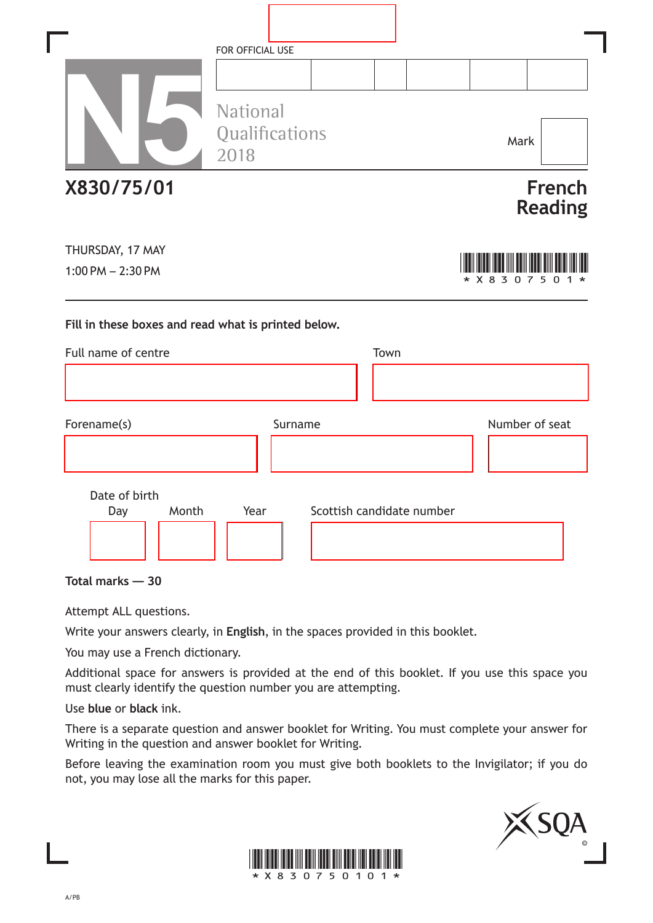|                                                     | FOR OFFICIAL USE |                           |                                                    |
|-----------------------------------------------------|------------------|---------------------------|----------------------------------------------------|
|                                                     |                  |                           |                                                    |
|                                                     | <b>National</b>  |                           |                                                    |
|                                                     | Qualifications   |                           | Mark                                               |
|                                                     | 2018             |                           |                                                    |
| X830/75/01                                          |                  |                           | <b>French</b>                                      |
|                                                     |                  |                           | <b>Reading</b>                                     |
| THURSDAY, 17 MAY                                    |                  |                           |                                                    |
| $1:00$ PM $- 2:30$ PM                               |                  |                           | $*$ X 8<br>3<br>5<br>$\Omega$<br><sup>n</sup><br>7 |
|                                                     |                  |                           |                                                    |
| Fill in these boxes and read what is printed below. |                  |                           |                                                    |
| Full name of centre                                 |                  | Town                      |                                                    |
|                                                     |                  |                           |                                                    |
|                                                     |                  |                           |                                                    |
| Forename(s)                                         | Surname          |                           | Number of seat                                     |
|                                                     |                  |                           |                                                    |
| Date of birth                                       |                  |                           |                                                    |
| Month<br>Day                                        | Year             | Scottish candidate number |                                                    |
|                                                     |                  |                           |                                                    |
|                                                     |                  |                           |                                                    |

**Total marks — 30**

Attempt ALL questions.

Write your answers clearly, in **English**, in the spaces provided in this booklet.

You may use a French dictionary.

Additional space for answers is provided at the end of this booklet. If you use this space you must clearly identify the question number you are attempting.

Use **blue** or **black** ink.

There is a separate question and answer booklet for Writing. You must complete your answer for Writing in the question and answer booklet for Writing.

Before leaving the examination room you must give both booklets to the Invigilator; if you do not, you may lose all the marks for this paper.



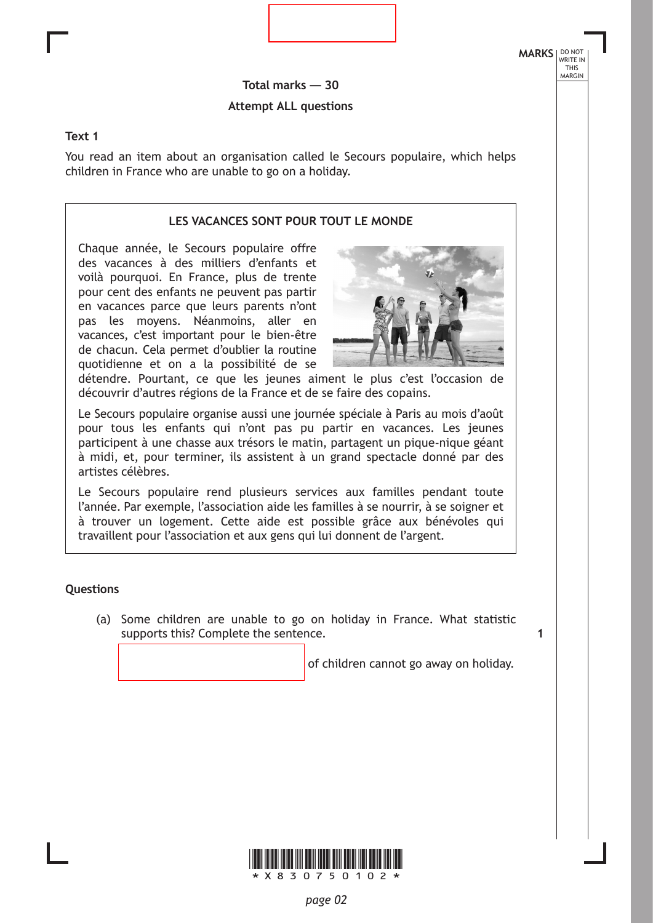**MARKS** NO NOT THIS MARGIN

**1**

**Total marks — 30 Attempt ALL questions**

#### **Text 1**

You read an item about an organisation called le Secours populaire, which helps children in France who are unable to go on a holiday.

#### **LES VACANCES SONT POUR TOUT LE MONDE**

Chaque année, le Secours populaire offre des vacances à des milliers d'enfants et voilà pourquoi. En France, plus de trente pour cent des enfants ne peuvent pas partir en vacances parce que leurs parents n'ont pas les moyens. Néanmoins, aller en vacances, c'est important pour le bien-être de chacun. Cela permet d'oublier la routine quotidienne et on a la possibilité de se



détendre. Pourtant, ce que les jeunes aiment le plus c'est l'occasion de découvrir d'autres régions de la France et de se faire des copains.

Le Secours populaire organise aussi une journée spéciale à Paris au mois d'août pour tous les enfants qui n'ont pas pu partir en vacances. Les jeunes participent à une chasse aux trésors le matin, partagent un pique-nique géant à midi, et, pour terminer, ils assistent à un grand spectacle donné par des artistes célèbres.

Le Secours populaire rend plusieurs services aux familles pendant toute l'année. Par exemple, l'association aide les familles à se nourrir, à se soigner et à trouver un logement. Cette aide est possible grâce aux bénévoles qui travaillent pour l'association et aux gens qui lui donnent de l'argent.

#### **Questions**

(a) Some children are unable to go on holiday in France. What statistic supports this? Complete the sentence.

of children cannot go away on holiday.

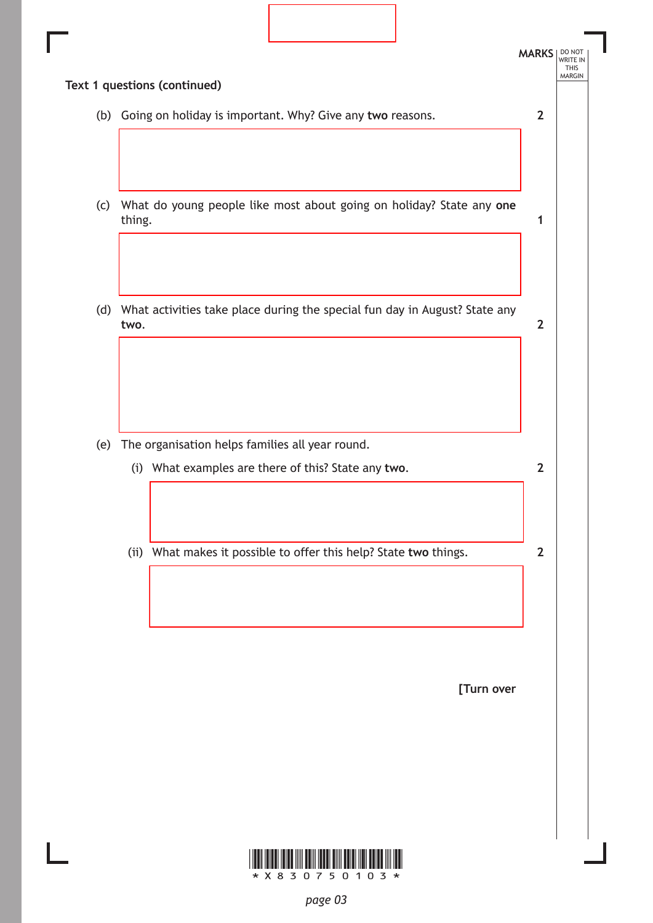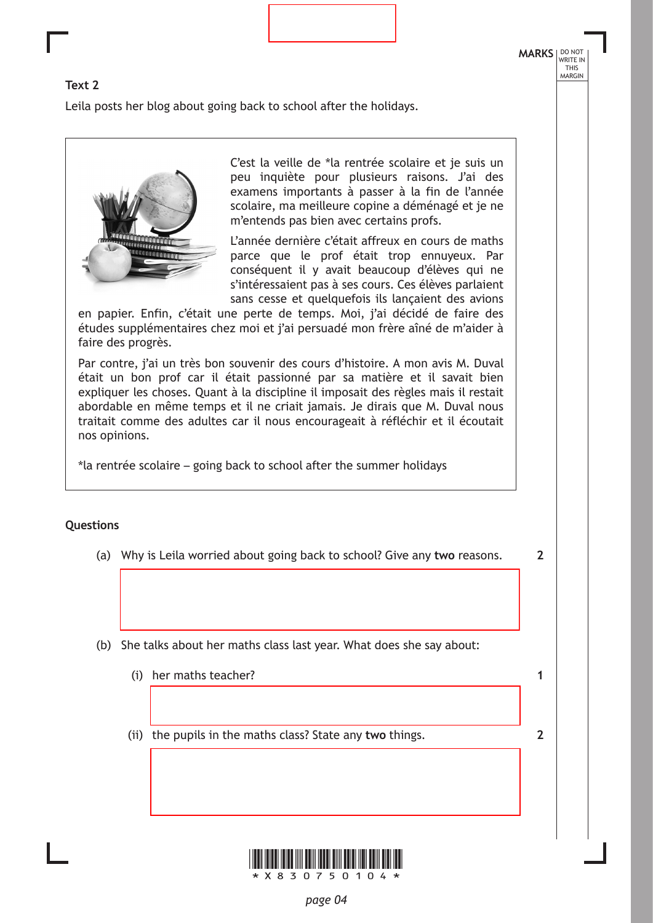**2**

**1**

**2**

## **Text 2**

Leila posts her blog about going back to school after the holidays.



C'est la veille de \*la rentrée scolaire et je suis un peu inquiète pour plusieurs raisons. J'ai des examens importants à passer à la fin de l'année scolaire, ma meilleure copine a déménagé et je ne m'entends pas bien avec certains profs.

L'année dernière c'était affreux en cours de maths parce que le prof était trop ennuyeux. Par conséquent il y avait beaucoup d'élèves qui ne s'intéressaient pas à ses cours. Ces élèves parlaient sans cesse et quelquefois ils lançaient des avions

en papier. Enfin, c'était une perte de temps. Moi, j'ai décidé de faire des études supplémentaires chez moi et j'ai persuadé mon frère aîné de m'aider à faire des progrès.

Par contre, j'ai un très bon souvenir des cours d'histoire. A mon avis M. Duval était un bon prof car il était passionné par sa matière et il savait bien expliquer les choses. Quant à la discipline il imposait des règles mais il restait abordable en même temps et il ne criait jamais. Je dirais que M. Duval nous traitait comme des adultes car il nous encourageait à réfléchir et il écoutait nos opinions.

\*la rentrée scolaire – going back to school after the summer holidays

## **Questions**

- (a) Why is Leila worried about going back to school? Give any **two** reasons.
- (b) She talks about her maths class last year. What does she say about:
	- (i) her maths teacher?
	- (ii) the pupils in the maths class? State any **two** things.

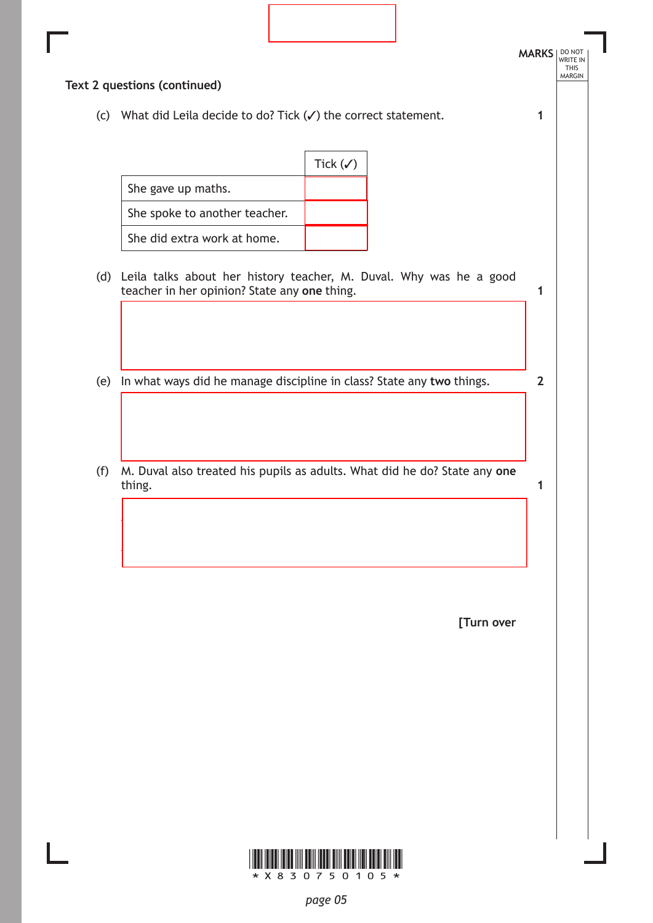|     | (c) What did Leila decide to do? Tick $(\checkmark)$ the correct statement.                                            | 1              |
|-----|------------------------------------------------------------------------------------------------------------------------|----------------|
|     | Tick $(\checkmark)$                                                                                                    |                |
|     | She gave up maths.                                                                                                     |                |
|     | She spoke to another teacher.                                                                                          |                |
|     | She did extra work at home.                                                                                            |                |
|     | (d) Leila talks about her history teacher, M. Duval. Why was he a good<br>teacher in her opinion? State any one thing. | 1              |
|     |                                                                                                                        |                |
|     |                                                                                                                        |                |
| (e) | In what ways did he manage discipline in class? State any two things.                                                  | $\overline{2}$ |
|     |                                                                                                                        |                |
|     |                                                                                                                        |                |
|     |                                                                                                                        |                |
|     | M. Duval also treated his pupils as adults. What did he do? State any one<br>thing.                                    | 1              |
| (f) |                                                                                                                        |                |
|     |                                                                                                                        |                |
|     |                                                                                                                        |                |
|     |                                                                                                                        |                |

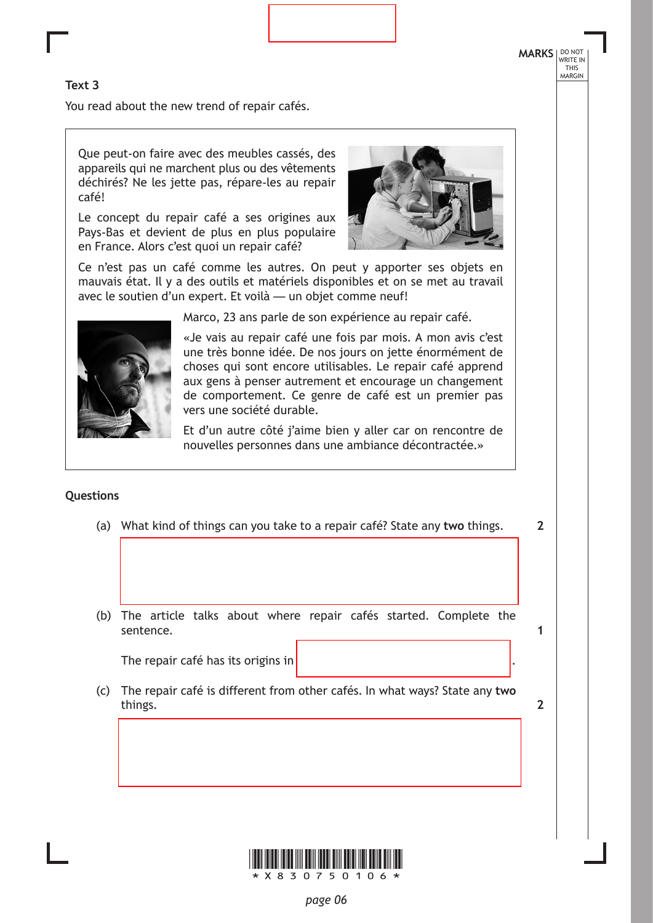# **MARKS** NO NOT THIS MARGIN

**2**

**1**

**2**

### **Text 3**

You read about the new trend of repair cafés.

Que peut-on faire avec des meubles cassés, des appareils qui ne marchent plus ou des vêtements déchirés? Ne les jette pas, répare-les au repair café!

Le concept du repair café a ses origines aux Pays-Bas et devient de plus en plus populaire en France. Alors c'est quoi un repair café?



Ce n'est pas un café comme les autres. On peut y apporter ses objets en mauvais état. Il y a des outils et matériels disponibles et on se met au travail avec le soutien d'un expert. Et voilà — un objet comme neuf!



Marco, 23 ans parle de son expérience au repair café.

«Je vais au repair café une fois par mois. A mon avis c'est une très bonne idée. De nos jours on jette énormément de choses qui sont encore utilisables. Le repair café apprend aux gens à penser autrement et encourage un changement de comportement. Ce genre de café est un premier pas vers une société durable.

Et d'un autre côté j'aime bien y aller car on rencontre de nouvelles personnes dans une ambiance décontractée.»

## **Questions**

- (a) What kind of things can you take to a repair café? State any **two** things.
- (b) The article talks about where repair cafés started. Complete the sentence.

The repair café has its origins in.

(c) The repair café is different from other cafés. In what ways? State any **two**  things.

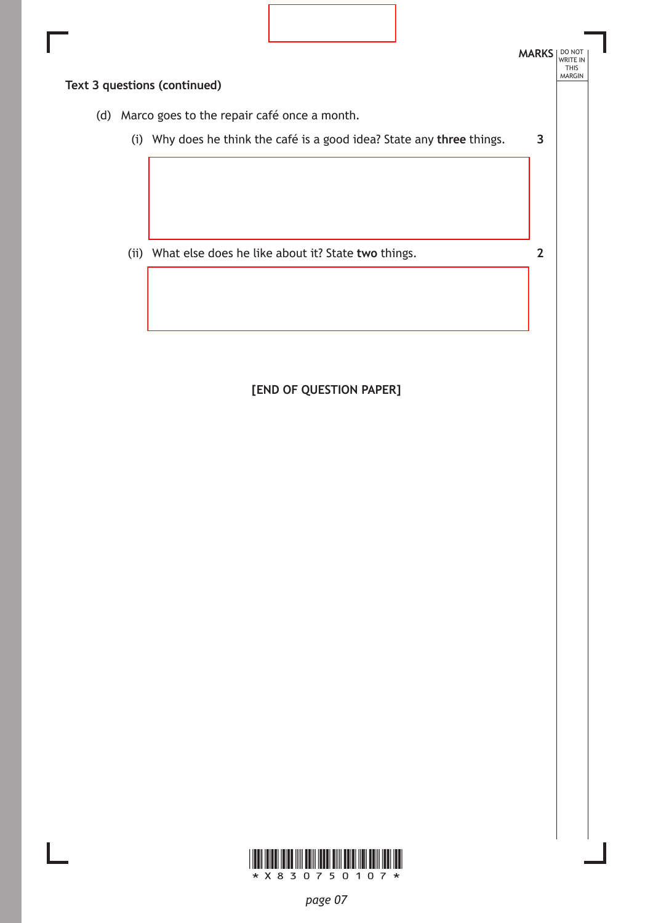

**[END OF QUESTION PAPER]**

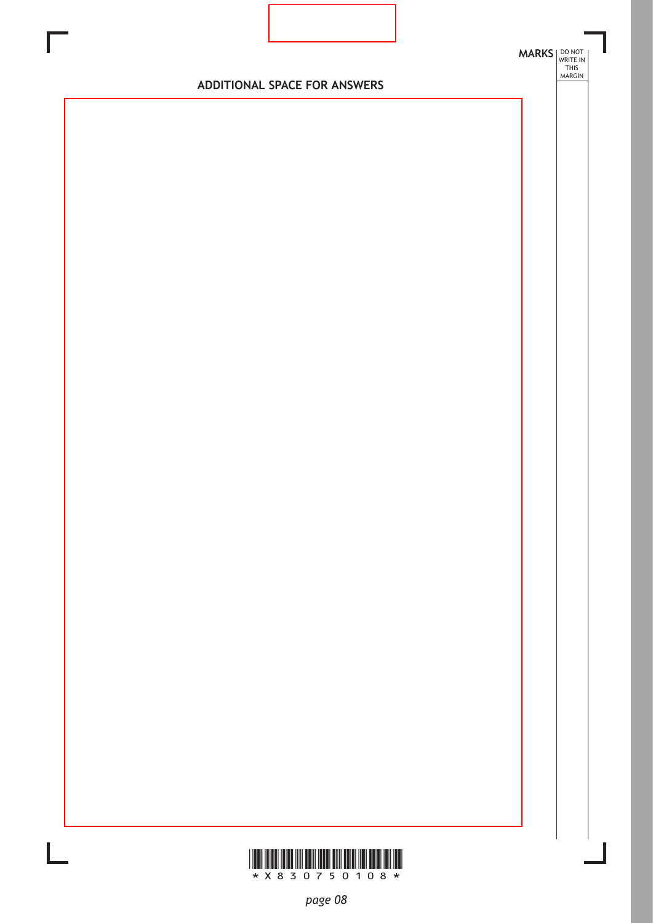

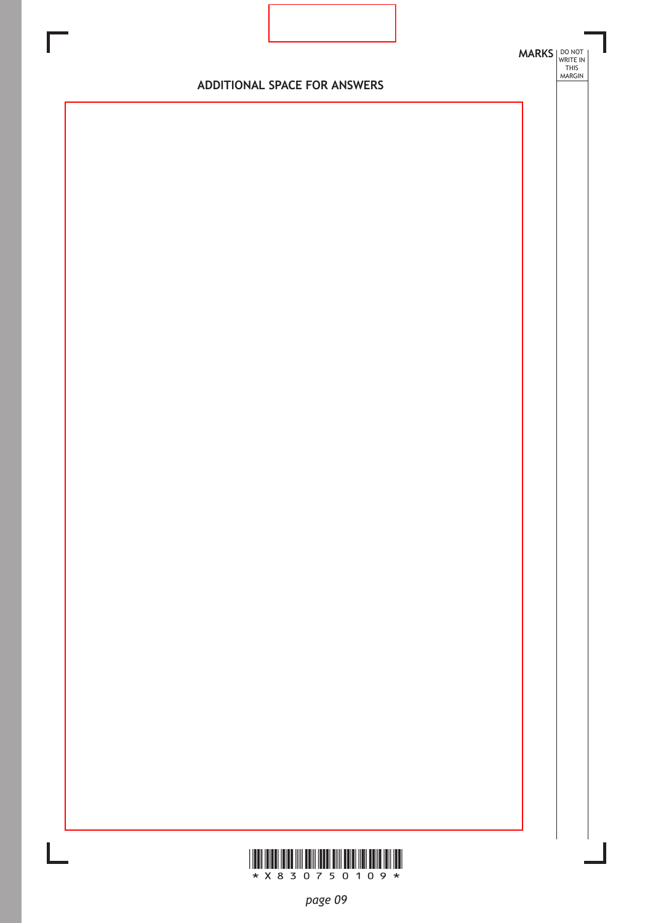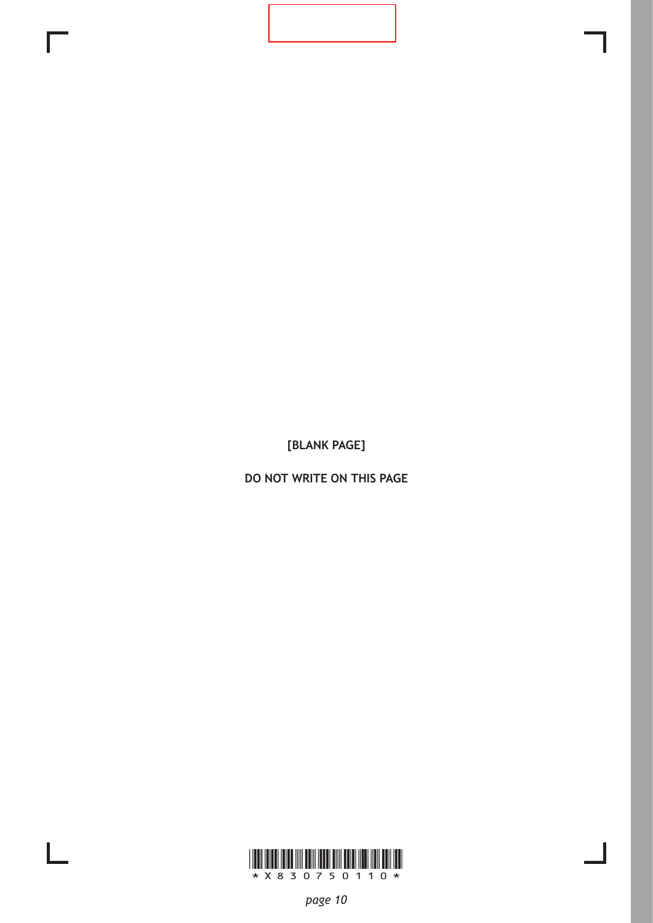**DO NOT WRITE ON THIS PAGE**

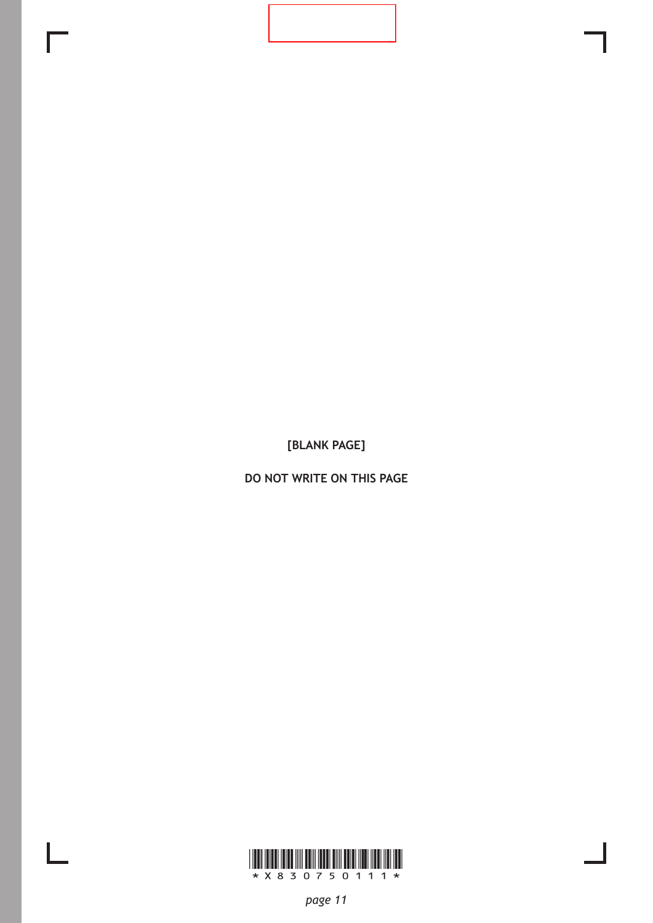**DO NOT WRITE ON THIS PAGE**

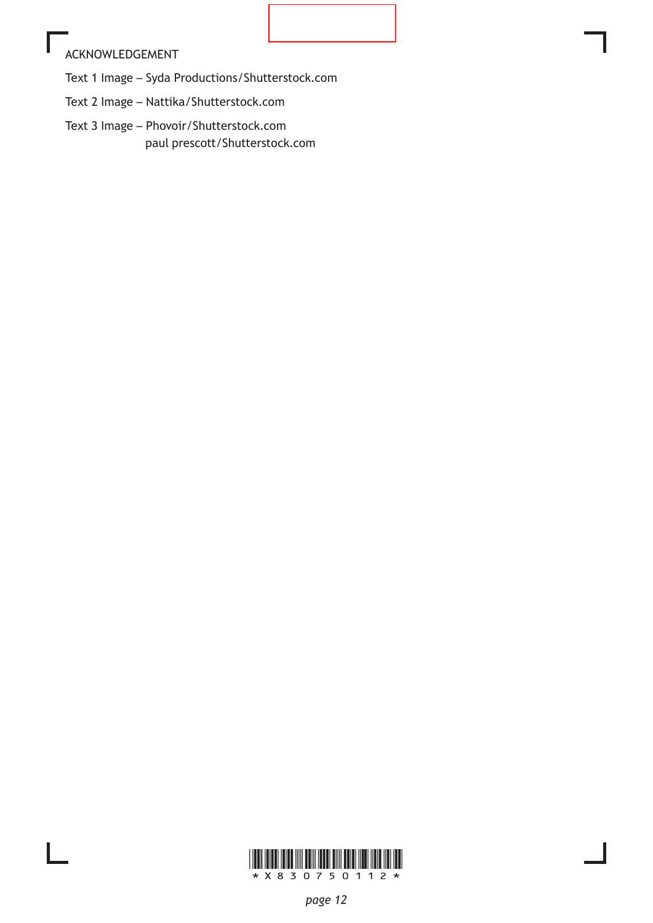## ACKNOWLEDGEMENT

Text 1 Image – Syda Productions/Shutterstock.com

Text 2 Image – Nattika/Shutterstock.com

Text 3 Image – Phovoir/Shutterstock.com paul prescott/Shutterstock.com

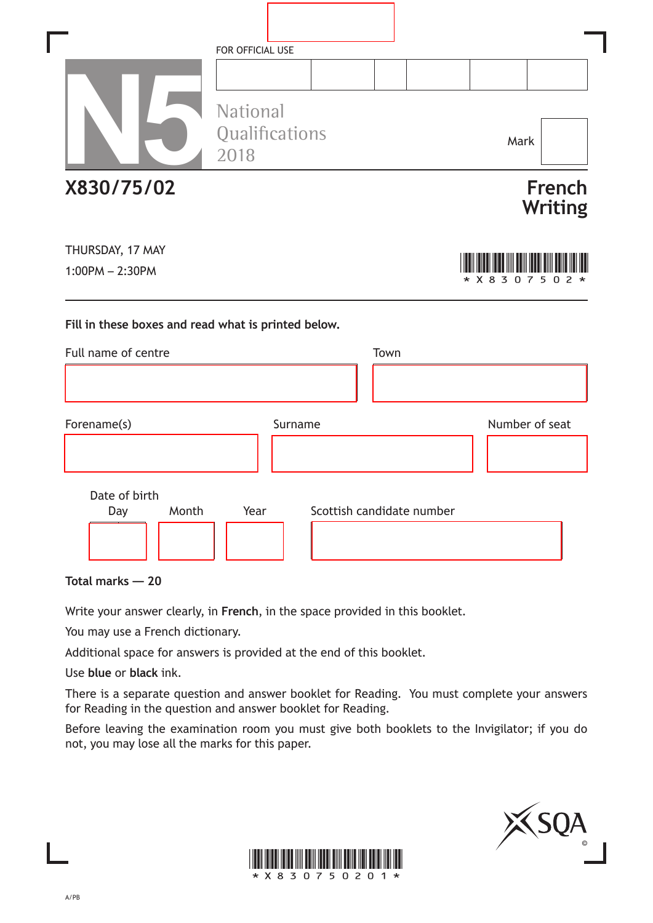|                                                     | FOR OFFICIAL USE                   |                           |                                 |
|-----------------------------------------------------|------------------------------------|---------------------------|---------------------------------|
|                                                     | National<br>Qualifications<br>2018 |                           | Mark                            |
| X830/75/02                                          |                                    |                           | <b>French</b><br><b>Writing</b> |
| THURSDAY, 17 MAY<br>$1:00PM - 2:30PM$               |                                    |                           | 3 0 7 5<br>$*$ X 8<br>0         |
| Fill in these boxes and read what is printed below. |                                    |                           |                                 |
| Full name of centre                                 |                                    | Town                      |                                 |
|                                                     |                                    |                           |                                 |
| Forename(s)                                         | Surname                            |                           | Number of seat                  |
| Date of birth<br>Month<br>Day                       | Year                               | Scottish candidate number |                                 |

**Total marks — 20**

Write your answer clearly, in **French**, in the space provided in this booklet.

You may use a French dictionary.

Additional space for answers is provided at the end of this booklet.

Use **blue** or **black** ink.

There is a separate question and answer booklet for Reading. You must complete your answers for Reading in the question and answer booklet for Reading.

Before leaving the examination room you must give both booklets to the Invigilator; if you do not, you may lose all the marks for this paper.



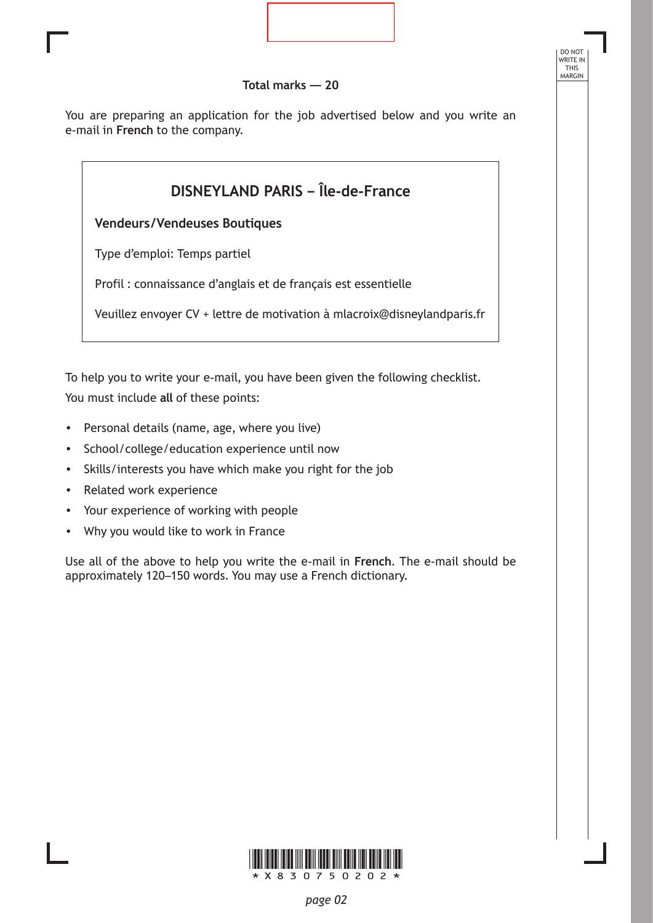

DO NOT WRITE IN THIS MARGIN

You are preparing an application for the job advertised below and you write an e-mail in **French** to the company.



To help you to write your e-mail, you have been given the following checklist. You must include **all** of these points:

- Personal details (name, age, where you live)
- School/college/education experience until now
- Skills/interests you have which make you right for the job
- Related work experience
- Your experience of working with people
- Why you would like to work in France

Use all of the above to help you write the e-mail in **French**. The e-mail should be approximately 120–150 words. You may use a French dictionary.

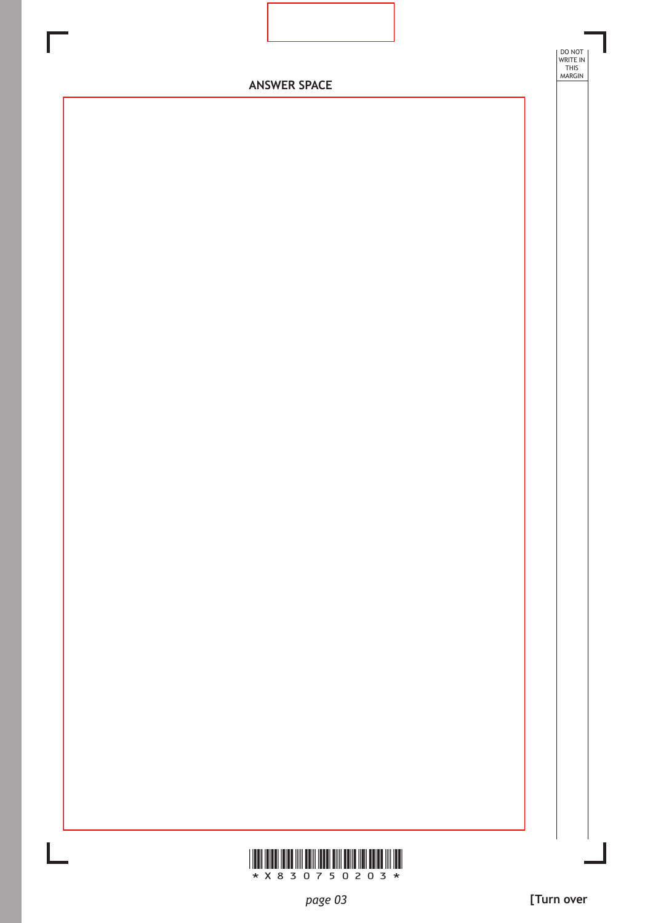

\*X830750203\*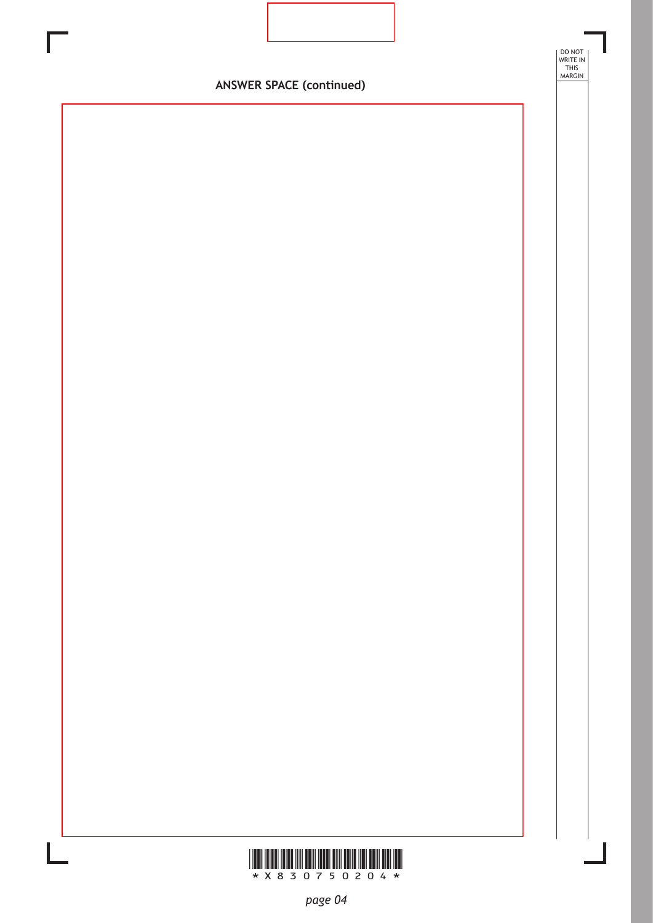

DO NOT WRITE IN THIS MARGIN

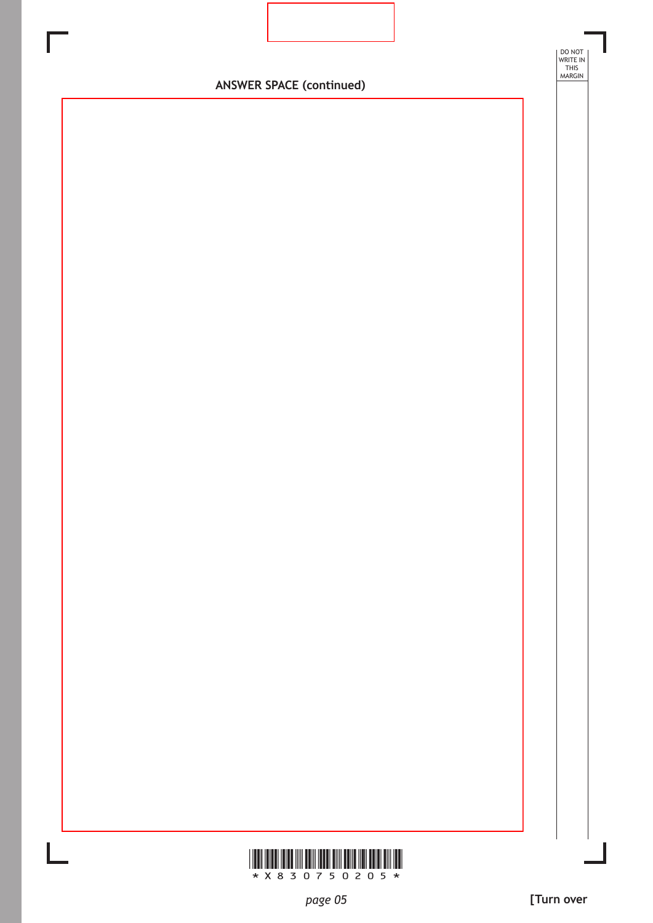

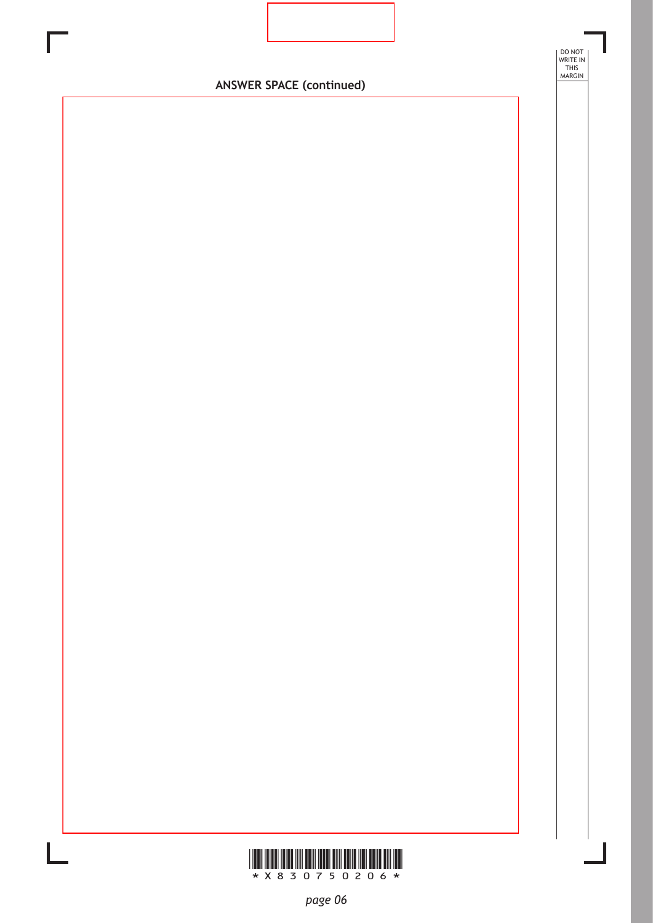

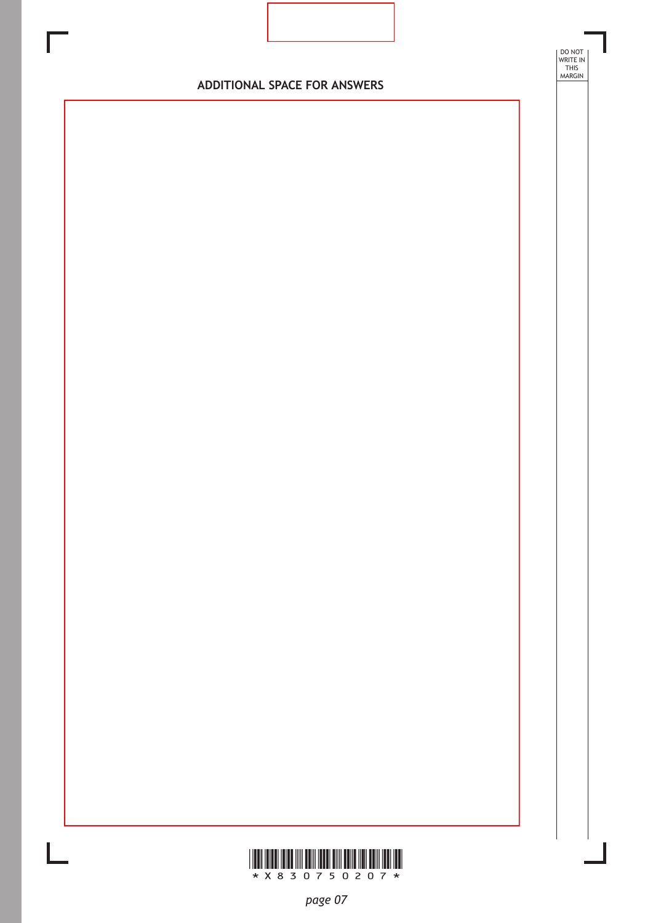

DO NOT WRITE IN THIS MARGIN

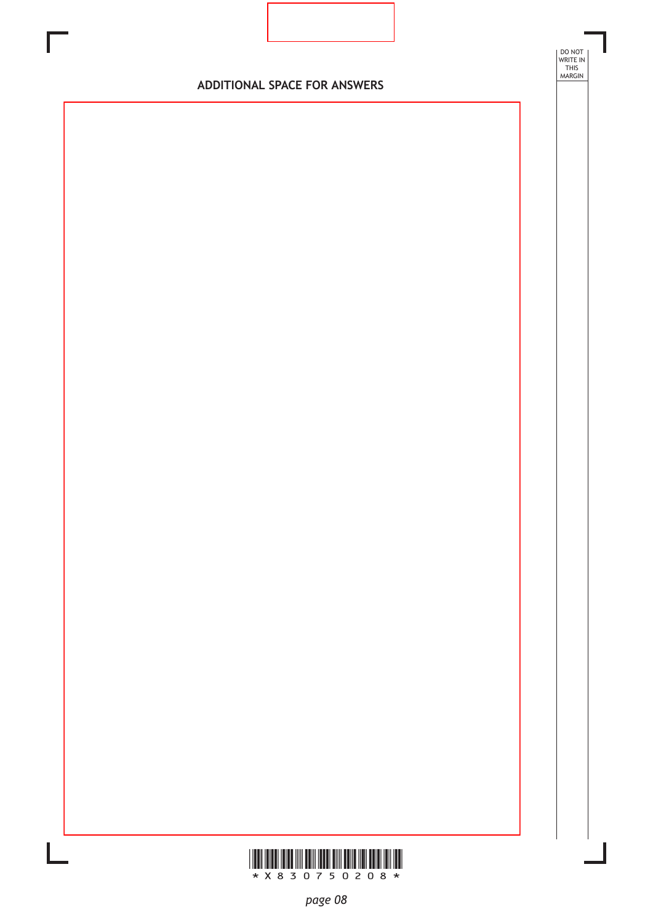

DO NOT WRITE IN THIS MARGIN

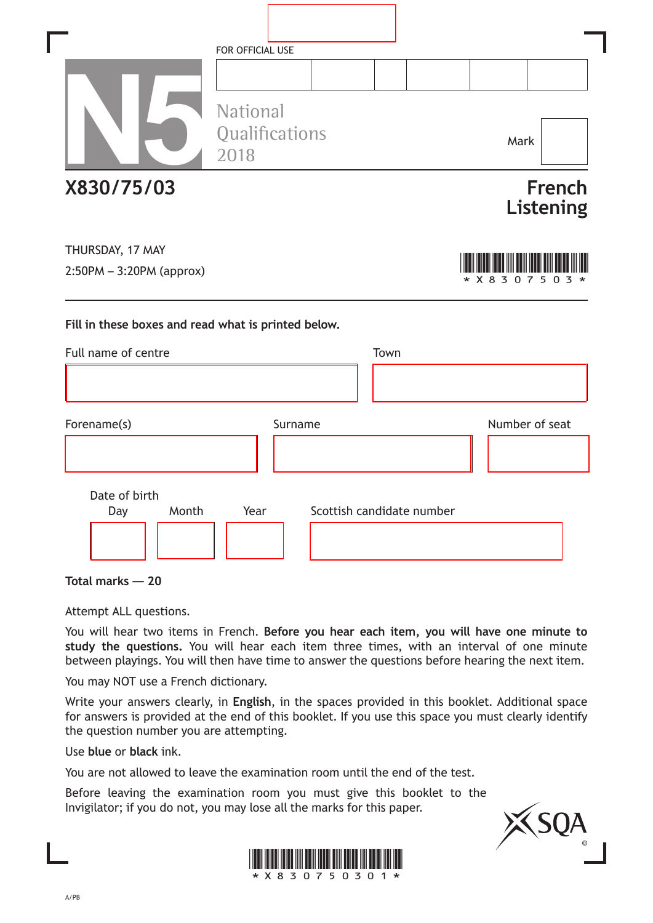|                                                     | FOR OFFICIAL USE                          |         |                           |      |                   |                            |
|-----------------------------------------------------|-------------------------------------------|---------|---------------------------|------|-------------------|----------------------------|
|                                                     | <b>National</b><br>Qualifications<br>2018 |         |                           |      | Mark              |                            |
| X830/75/03                                          |                                           |         |                           |      |                   | <b>French</b><br>Listening |
| THURSDAY, 17 MAY<br>$2:50PM - 3:20PM$ (approx)      |                                           |         |                           |      | * X 8<br>3<br>0 7 | 5                          |
| Fill in these boxes and read what is printed below. |                                           |         |                           |      |                   |                            |
| Full name of centre                                 |                                           |         |                           | Town |                   |                            |
|                                                     |                                           |         |                           |      |                   |                            |
| Forename(s)                                         |                                           | Surname |                           |      | Number of seat    |                            |
|                                                     |                                           |         |                           |      |                   |                            |
| Date of birth                                       |                                           |         |                           |      |                   |                            |
| Month<br>Day                                        | Year                                      |         | Scottish candidate number |      |                   |                            |
|                                                     |                                           |         |                           |      |                   |                            |

٦

I

**Total marks — 20**

Attempt ALL questions.

You will hear two items in French. **Before you hear each item, you will have one minute to study the questions.** You will hear each item three times, with an interval of one minute between playings. You will then have time to answer the questions before hearing the next item.

You may NOT use a French dictionary.

Write your answers clearly, in **English**, in the spaces provided in this booklet. Additional space for answers is provided at the end of this booklet. If you use this space you must clearly identify the question number you are attempting.

Use **blue** or **black** ink.

You are not allowed to leave the examination room until the end of the test.

Before leaving the examination room you must give this booklet to the Invigilator; if you do not, you may lose all the marks for this paper.



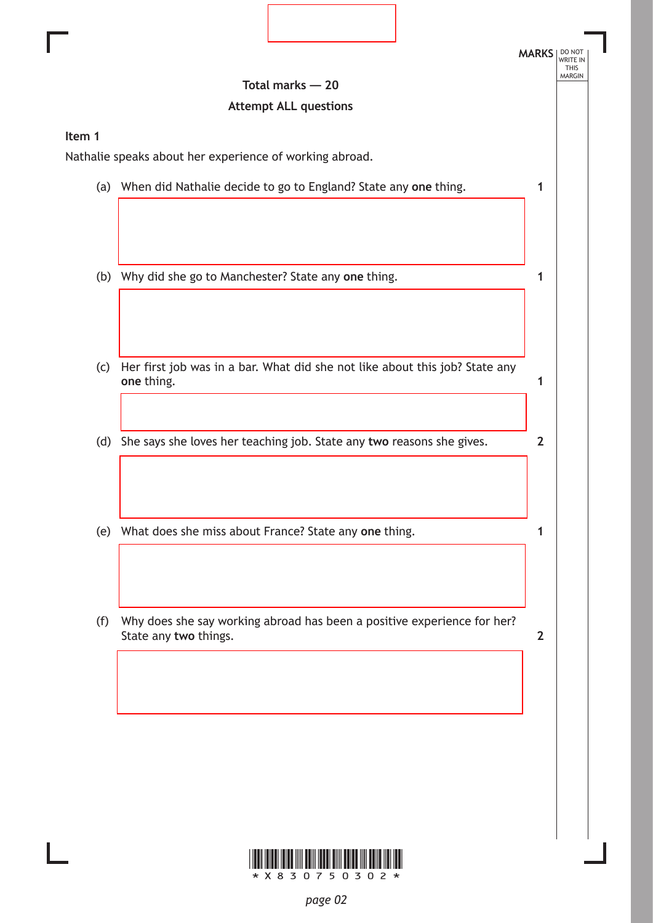|        |                                                                             | <b>MARKS</b>   |
|--------|-----------------------------------------------------------------------------|----------------|
|        | Total marks $-20$                                                           |                |
|        | <b>Attempt ALL questions</b>                                                |                |
| Item 1 |                                                                             |                |
|        | Nathalie speaks about her experience of working abroad.                     |                |
|        | (a) When did Nathalie decide to go to England? State any one thing.         | 1              |
|        |                                                                             |                |
|        |                                                                             |                |
|        |                                                                             |                |
| (b)    | Why did she go to Manchester? State any one thing.                          | 1              |
|        |                                                                             |                |
|        |                                                                             |                |
| (c)    | Her first job was in a bar. What did she not like about this job? State any |                |
|        | one thing.                                                                  | 1              |
|        |                                                                             |                |
| (d)    | She says she loves her teaching job. State any two reasons she gives.       | $\overline{2}$ |
|        |                                                                             |                |
|        |                                                                             |                |
|        |                                                                             |                |
| (e)    | What does she miss about France? State any one thing.                       |                |
|        |                                                                             |                |
|        |                                                                             |                |
| (f)    | Why does she say working abroad has been a positive experience for her?     |                |
|        | State any two things.                                                       | $\overline{2}$ |
|        |                                                                             |                |
|        |                                                                             |                |
|        |                                                                             |                |



 $\mathbf{L}$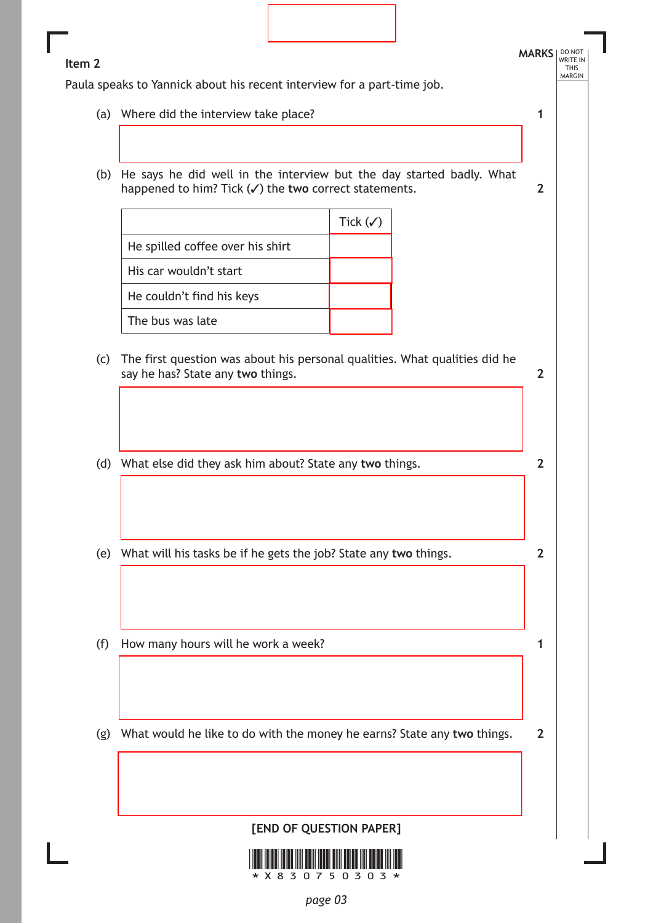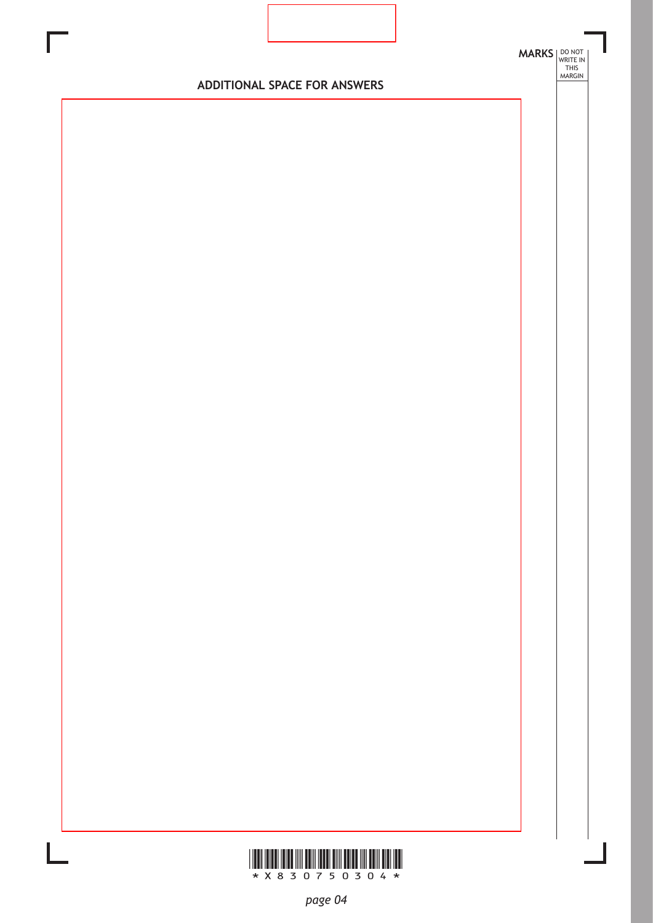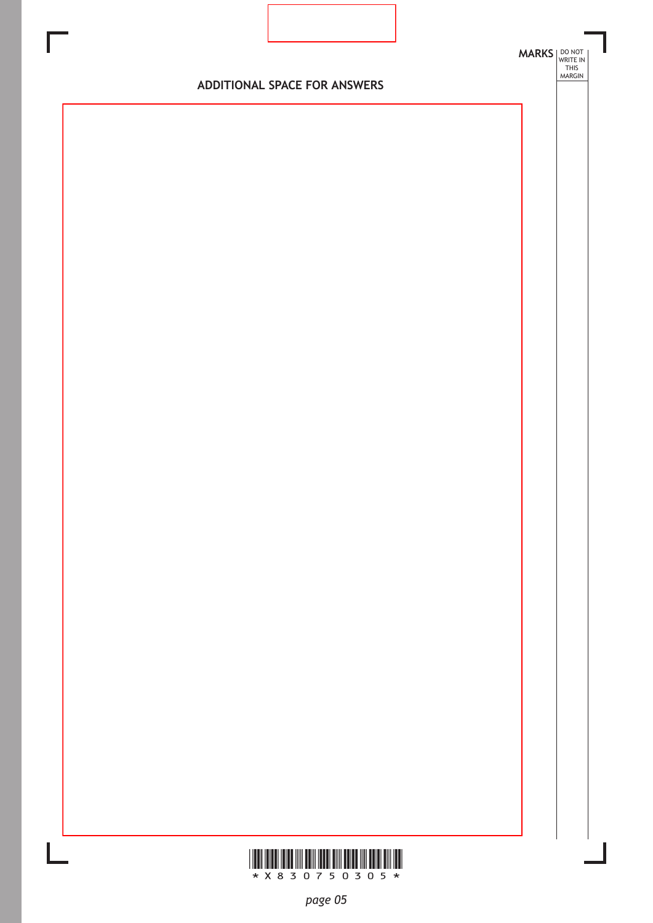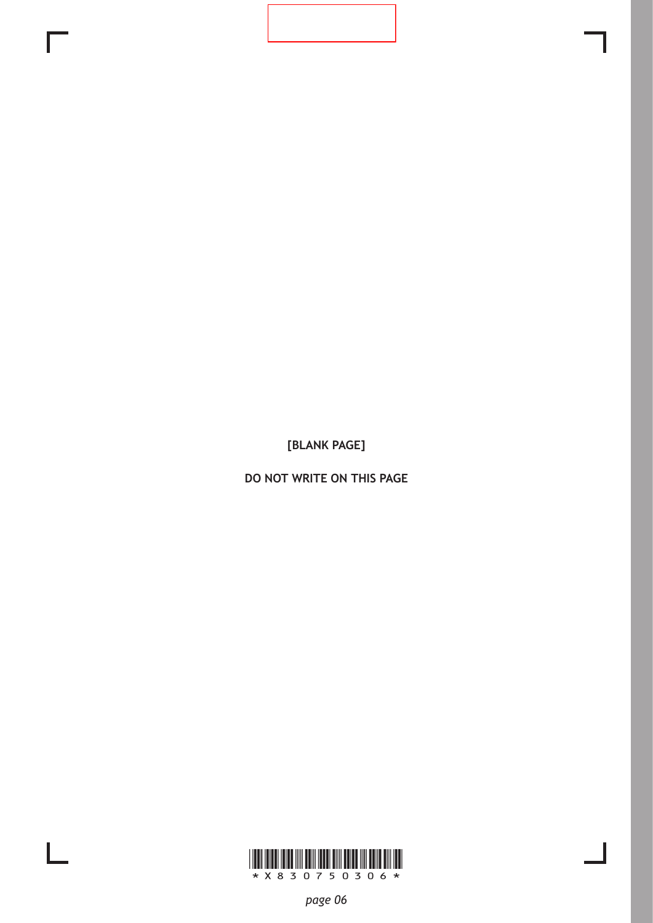**DO NOT WRITE ON THIS PAGE**

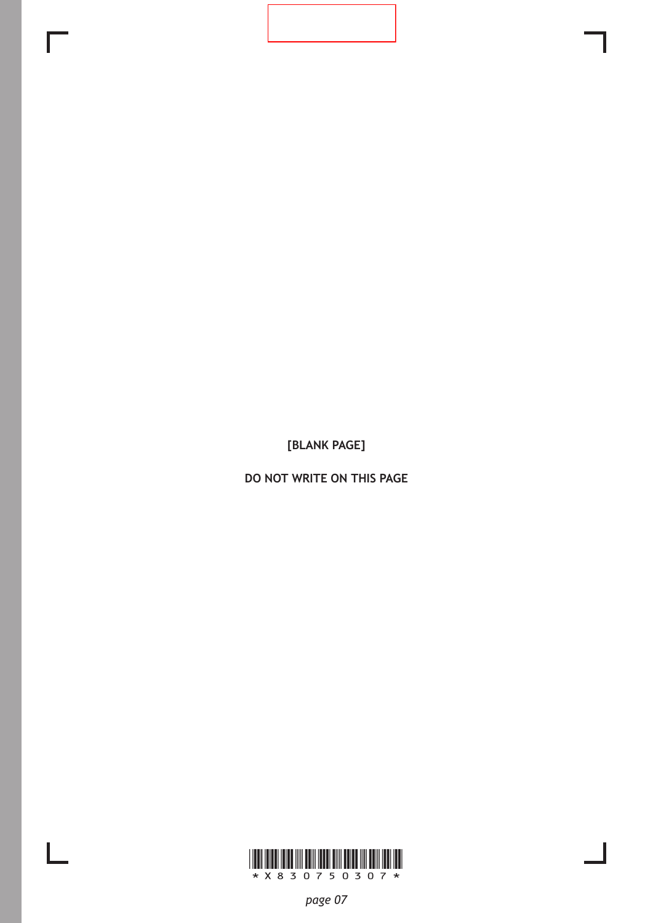**DO NOT WRITE ON THIS PAGE**